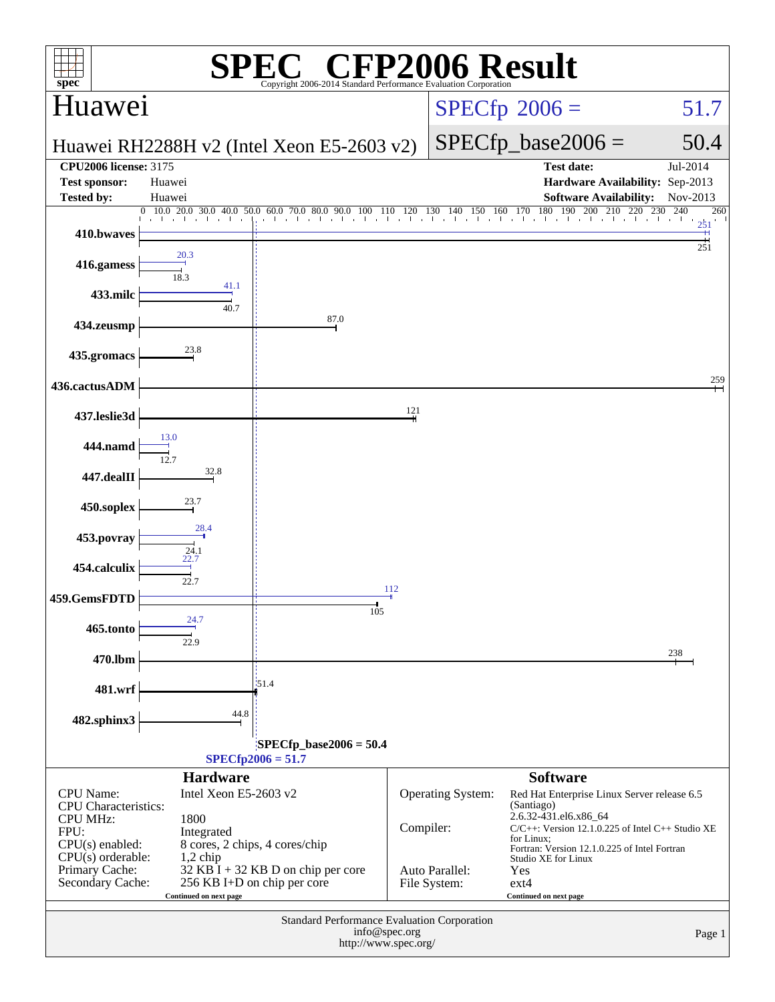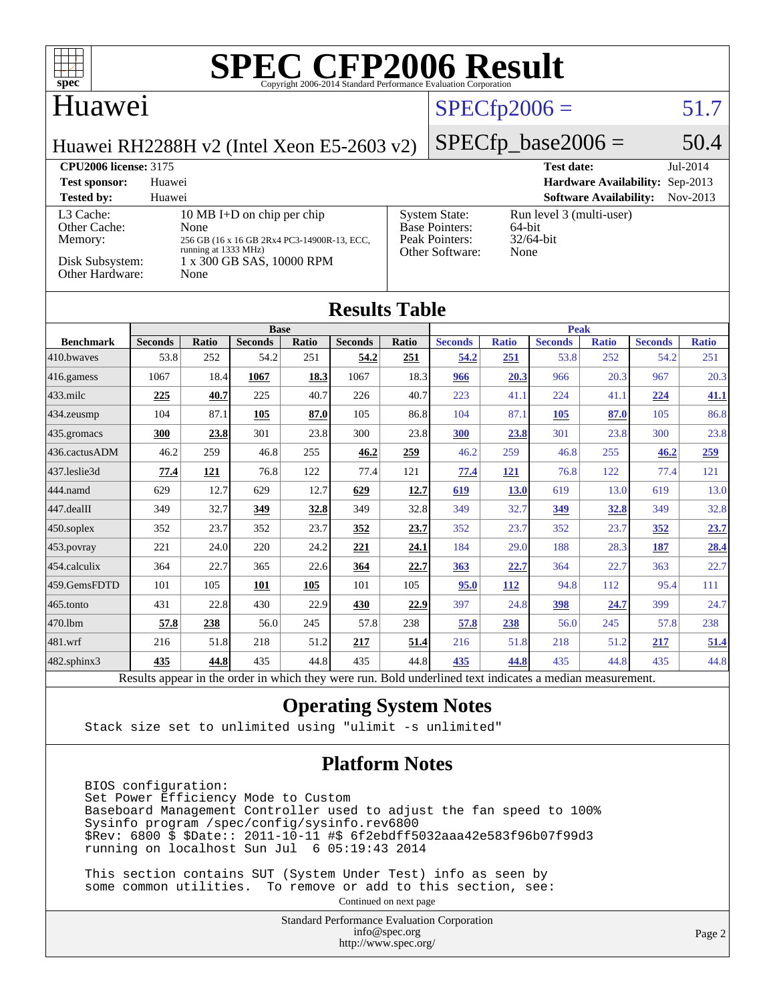

Results appear in the [order in which they were run.](http://www.spec.org/auto/cpu2006/Docs/result-fields.html#RunOrder) Bold underlined text [indicates a median measurement.](http://www.spec.org/auto/cpu2006/Docs/result-fields.html#Median)

#### **[Operating System Notes](http://www.spec.org/auto/cpu2006/Docs/result-fields.html#OperatingSystemNotes)**

Stack size set to unlimited using "ulimit -s unlimited"

#### **[Platform Notes](http://www.spec.org/auto/cpu2006/Docs/result-fields.html#PlatformNotes)**

 BIOS configuration: Set Power Efficiency Mode to Custom Baseboard Management Controller used to adjust the fan speed to 100% Sysinfo program /spec/config/sysinfo.rev6800 \$Rev: 6800 \$ \$Date:: 2011-10-11 #\$ 6f2ebdff5032aaa42e583f96b07f99d3 running on localhost Sun Jul 6 05:19:43 2014

 This section contains SUT (System Under Test) info as seen by some common utilities. To remove or add to this section, see:

Continued on next page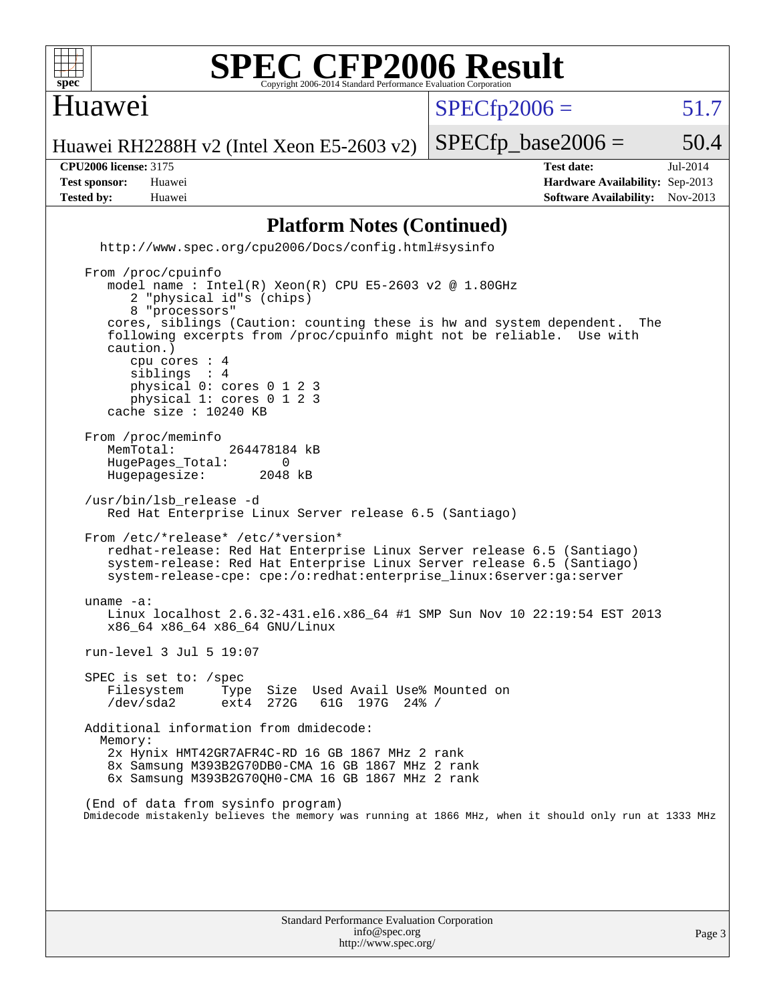

#### Huawei

 $SPECTp2006 = 51.7$ 

Huawei RH2288H v2 (Intel Xeon E5-2603 v2)

**[Tested by:](http://www.spec.org/auto/cpu2006/Docs/result-fields.html#Testedby)** Huawei **[Software Availability:](http://www.spec.org/auto/cpu2006/Docs/result-fields.html#SoftwareAvailability)** Nov-2013

**[CPU2006 license:](http://www.spec.org/auto/cpu2006/Docs/result-fields.html#CPU2006license)** 3175 **[Test date:](http://www.spec.org/auto/cpu2006/Docs/result-fields.html#Testdate)** Jul-2014 **[Test sponsor:](http://www.spec.org/auto/cpu2006/Docs/result-fields.html#Testsponsor)** Huawei **[Hardware Availability:](http://www.spec.org/auto/cpu2006/Docs/result-fields.html#HardwareAvailability)** Sep-2013

 $SPECTp\_base2006 = 50.4$ 

#### **[Platform Notes \(Continued\)](http://www.spec.org/auto/cpu2006/Docs/result-fields.html#PlatformNotes)**

 <http://www.spec.org/cpu2006/Docs/config.html#sysinfo> From /proc/cpuinfo model name : Intel(R) Xeon(R) CPU E5-2603 v2 @ 1.80GHz 2 "physical id"s (chips)

 8 "processors" cores, siblings (Caution: counting these is hw and system dependent. The following excerpts from /proc/cpuinfo might not be reliable. Use with caution.) cpu cores : 4 siblings physical 0: cores 0 1 2 3 physical 1: cores 0 1 2 3 cache size : 10240 KB From /proc/meminfo<br>MemTotal: 264478184 kB HugePages\_Total: 0<br>Hugepagesize: 2048 kB Hugepagesize: /usr/bin/lsb\_release -d Red Hat Enterprise Linux Server release 6.5 (Santiago) From /etc/\*release\* /etc/\*version\* redhat-release: Red Hat Enterprise Linux Server release 6.5 (Santiago) system-release: Red Hat Enterprise Linux Server release 6.5 (Santiago) system-release-cpe: cpe:/o:redhat:enterprise\_linux:6server:ga:server uname -a: Linux localhost 2.6.32-431.el6.x86\_64 #1 SMP Sun Nov 10 22:19:54 EST 2013 x86\_64 x86\_64 x86\_64 GNU/Linux run-level 3 Jul 5 19:07 SPEC is set to: /spec Filesystem Type Size Used Avail Use% Mounted on /dev/sda2 ext4 272G 61G 197G 24% / Additional information from dmidecode: Memory: 2x Hynix HMT42GR7AFR4C-RD 16 GB 1867 MHz 2 rank 8x Samsung M393B2G70DB0-CMA 16 GB 1867 MHz 2 rank 6x Samsung M393B2G70QH0-CMA 16 GB 1867 MHz 2 rank

 (End of data from sysinfo program) Dmidecode mistakenly believes the memory was running at 1866 MHz, when it should only run at 1333 MHz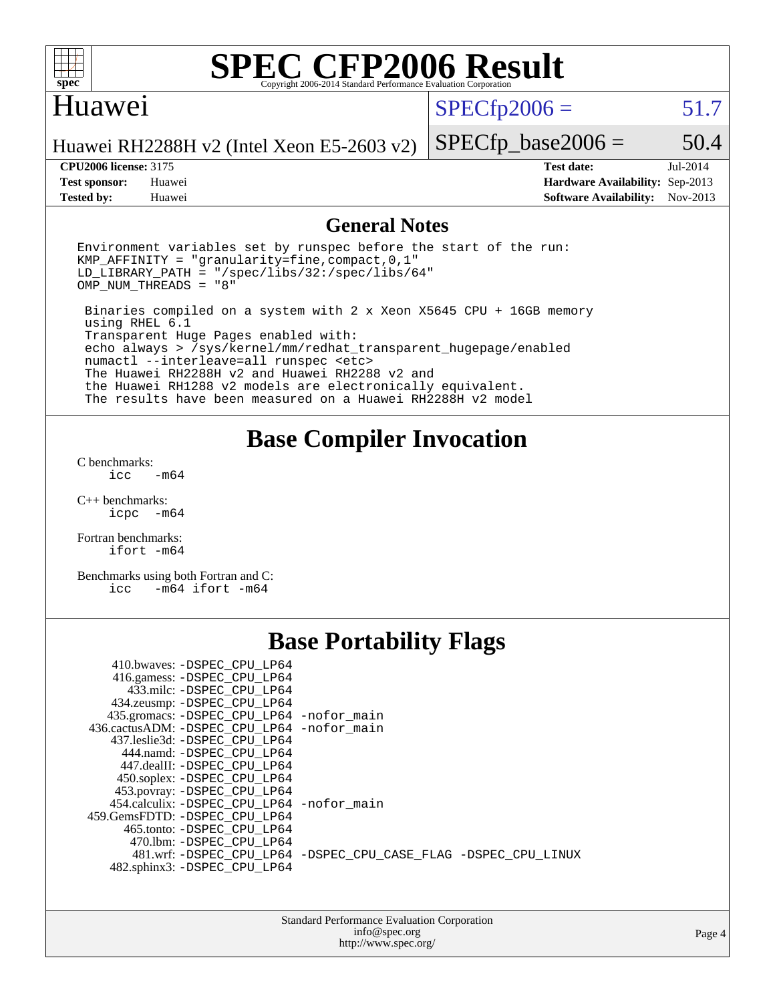

#### Huawei

 $SPECfp2006 = 51.7$  $SPECfp2006 = 51.7$ 

Huawei RH2288H v2 (Intel Xeon E5-2603 v2)

**[Tested by:](http://www.spec.org/auto/cpu2006/Docs/result-fields.html#Testedby)** Huawei **[Software Availability:](http://www.spec.org/auto/cpu2006/Docs/result-fields.html#SoftwareAvailability)** Nov-2013

**[CPU2006 license:](http://www.spec.org/auto/cpu2006/Docs/result-fields.html#CPU2006license)** 3175 **[Test date:](http://www.spec.org/auto/cpu2006/Docs/result-fields.html#Testdate)** Jul-2014 **[Test sponsor:](http://www.spec.org/auto/cpu2006/Docs/result-fields.html#Testsponsor)** Huawei **[Hardware Availability:](http://www.spec.org/auto/cpu2006/Docs/result-fields.html#HardwareAvailability)** Sep-2013

 $SPECfp\_base2006 = 50.4$ 

#### **[General Notes](http://www.spec.org/auto/cpu2006/Docs/result-fields.html#GeneralNotes)**

Environment variables set by runspec before the start of the run: KMP\_AFFINITY = "granularity=fine,compact,0,1"  $LD$ \_LIBRARY\_PATH = "/spec/libs/32:/spec/libs/64" OMP\_NUM\_THREADS = "8" Binaries compiled on a system with 2 x Xeon X5645 CPU + 16GB memory

 using RHEL 6.1 Transparent Huge Pages enabled with: echo always > /sys/kernel/mm/redhat\_transparent\_hugepage/enabled numactl --interleave=all runspec <etc> The Huawei RH2288H v2 and Huawei RH2288 v2 and the Huawei RH1288 v2 models are electronically equivalent. The results have been measured on a Huawei RH2288H v2 model

### **[Base Compiler Invocation](http://www.spec.org/auto/cpu2006/Docs/result-fields.html#BaseCompilerInvocation)**

[C benchmarks](http://www.spec.org/auto/cpu2006/Docs/result-fields.html#Cbenchmarks):  $icc$   $-m64$ 

[C++ benchmarks:](http://www.spec.org/auto/cpu2006/Docs/result-fields.html#CXXbenchmarks) [icpc -m64](http://www.spec.org/cpu2006/results/res2014q3/cpu2006-20140706-30351.flags.html#user_CXXbase_intel_icpc_64bit_bedb90c1146cab66620883ef4f41a67e)

[Fortran benchmarks](http://www.spec.org/auto/cpu2006/Docs/result-fields.html#Fortranbenchmarks): [ifort -m64](http://www.spec.org/cpu2006/results/res2014q3/cpu2006-20140706-30351.flags.html#user_FCbase_intel_ifort_64bit_ee9d0fb25645d0210d97eb0527dcc06e)

[Benchmarks using both Fortran and C](http://www.spec.org/auto/cpu2006/Docs/result-fields.html#BenchmarksusingbothFortranandC): [icc -m64](http://www.spec.org/cpu2006/results/res2014q3/cpu2006-20140706-30351.flags.html#user_CC_FCbase_intel_icc_64bit_0b7121f5ab7cfabee23d88897260401c) [ifort -m64](http://www.spec.org/cpu2006/results/res2014q3/cpu2006-20140706-30351.flags.html#user_CC_FCbase_intel_ifort_64bit_ee9d0fb25645d0210d97eb0527dcc06e)

## **[Base Portability Flags](http://www.spec.org/auto/cpu2006/Docs/result-fields.html#BasePortabilityFlags)**

| 410.bwaves: -DSPEC CPU LP64                 |                                                                |
|---------------------------------------------|----------------------------------------------------------------|
| 416.gamess: - DSPEC_CPU_LP64                |                                                                |
| 433.milc: -DSPEC CPU LP64                   |                                                                |
| 434.zeusmp: -DSPEC_CPU_LP64                 |                                                                |
| 435.gromacs: -DSPEC_CPU_LP64 -nofor_main    |                                                                |
| 436.cactusADM: -DSPEC CPU LP64 -nofor main  |                                                                |
| 437.leslie3d: -DSPEC CPU LP64               |                                                                |
| 444.namd: -DSPEC CPU LP64                   |                                                                |
| 447.dealII: -DSPEC_CPU_LP64                 |                                                                |
| 450.soplex: -DSPEC_CPU_LP64                 |                                                                |
| 453.povray: -DSPEC_CPU_LP64                 |                                                                |
| 454.calculix: - DSPEC CPU LP64 - nofor main |                                                                |
| 459.GemsFDTD: -DSPEC_CPU LP64               |                                                                |
| 465.tonto: -DSPEC CPU LP64                  |                                                                |
| 470.1bm: - DSPEC CPU LP64                   |                                                                |
|                                             | 481.wrf: -DSPEC CPU_LP64 -DSPEC_CPU_CASE_FLAG -DSPEC_CPU_LINUX |
| 482.sphinx3: -DSPEC_CPU_LP64                |                                                                |

| <b>Standard Performance Evaluation Corporation</b> |
|----------------------------------------------------|
| info@spec.org                                      |
| http://www.spec.org/                               |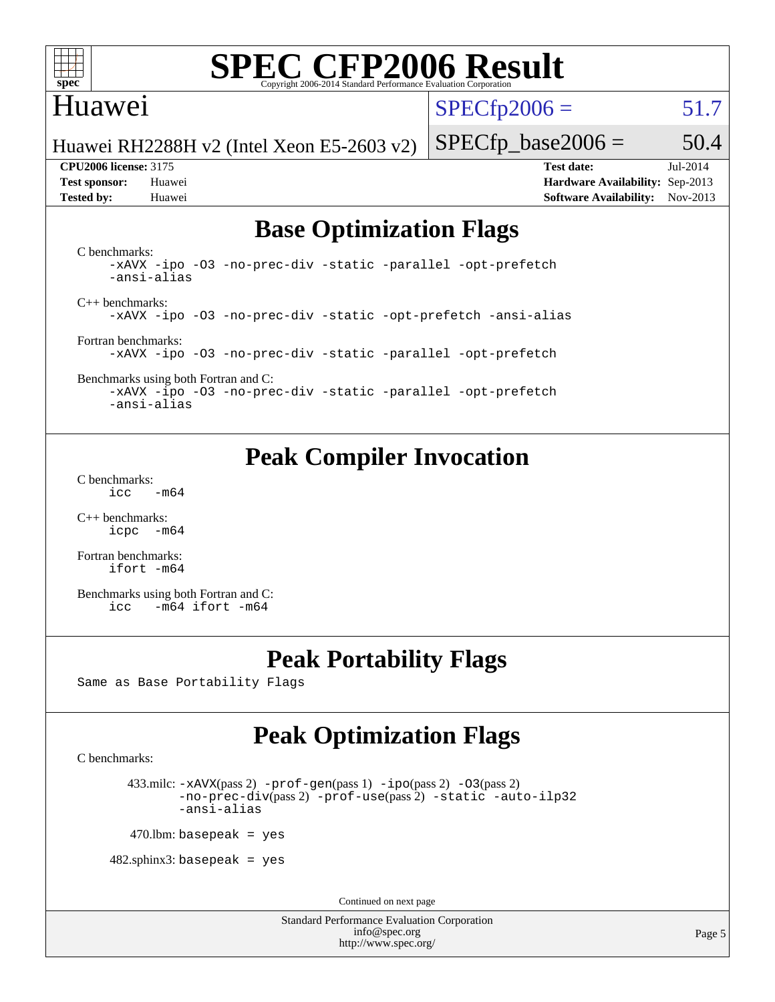

### Huawei

 $SPECfp2006 = 51.7$  $SPECfp2006 = 51.7$ 

Huawei RH2288H v2 (Intel Xeon E5-2603 v2)

**[Tested by:](http://www.spec.org/auto/cpu2006/Docs/result-fields.html#Testedby)** Huawei **[Software Availability:](http://www.spec.org/auto/cpu2006/Docs/result-fields.html#SoftwareAvailability)** Nov-2013

 $SPECfp\_base2006 = 50.4$ **[CPU2006 license:](http://www.spec.org/auto/cpu2006/Docs/result-fields.html#CPU2006license)** 3175 **[Test date:](http://www.spec.org/auto/cpu2006/Docs/result-fields.html#Testdate)** Jul-2014 **[Test sponsor:](http://www.spec.org/auto/cpu2006/Docs/result-fields.html#Testsponsor)** Huawei **[Hardware Availability:](http://www.spec.org/auto/cpu2006/Docs/result-fields.html#HardwareAvailability)** Sep-2013

## **[Base Optimization Flags](http://www.spec.org/auto/cpu2006/Docs/result-fields.html#BaseOptimizationFlags)**

[C benchmarks](http://www.spec.org/auto/cpu2006/Docs/result-fields.html#Cbenchmarks): [-xAVX](http://www.spec.org/cpu2006/results/res2014q3/cpu2006-20140706-30351.flags.html#user_CCbase_f-xAVX) [-ipo](http://www.spec.org/cpu2006/results/res2014q3/cpu2006-20140706-30351.flags.html#user_CCbase_f-ipo) [-O3](http://www.spec.org/cpu2006/results/res2014q3/cpu2006-20140706-30351.flags.html#user_CCbase_f-O3) [-no-prec-div](http://www.spec.org/cpu2006/results/res2014q3/cpu2006-20140706-30351.flags.html#user_CCbase_f-no-prec-div) [-static](http://www.spec.org/cpu2006/results/res2014q3/cpu2006-20140706-30351.flags.html#user_CCbase_f-static) [-parallel](http://www.spec.org/cpu2006/results/res2014q3/cpu2006-20140706-30351.flags.html#user_CCbase_f-parallel) [-opt-prefetch](http://www.spec.org/cpu2006/results/res2014q3/cpu2006-20140706-30351.flags.html#user_CCbase_f-opt-prefetch) [-ansi-alias](http://www.spec.org/cpu2006/results/res2014q3/cpu2006-20140706-30351.flags.html#user_CCbase_f-ansi-alias) [C++ benchmarks:](http://www.spec.org/auto/cpu2006/Docs/result-fields.html#CXXbenchmarks) [-xAVX](http://www.spec.org/cpu2006/results/res2014q3/cpu2006-20140706-30351.flags.html#user_CXXbase_f-xAVX) [-ipo](http://www.spec.org/cpu2006/results/res2014q3/cpu2006-20140706-30351.flags.html#user_CXXbase_f-ipo) [-O3](http://www.spec.org/cpu2006/results/res2014q3/cpu2006-20140706-30351.flags.html#user_CXXbase_f-O3) [-no-prec-div](http://www.spec.org/cpu2006/results/res2014q3/cpu2006-20140706-30351.flags.html#user_CXXbase_f-no-prec-div) [-static](http://www.spec.org/cpu2006/results/res2014q3/cpu2006-20140706-30351.flags.html#user_CXXbase_f-static) [-opt-prefetch](http://www.spec.org/cpu2006/results/res2014q3/cpu2006-20140706-30351.flags.html#user_CXXbase_f-opt-prefetch) [-ansi-alias](http://www.spec.org/cpu2006/results/res2014q3/cpu2006-20140706-30351.flags.html#user_CXXbase_f-ansi-alias) [Fortran benchmarks](http://www.spec.org/auto/cpu2006/Docs/result-fields.html#Fortranbenchmarks): [-xAVX](http://www.spec.org/cpu2006/results/res2014q3/cpu2006-20140706-30351.flags.html#user_FCbase_f-xAVX) [-ipo](http://www.spec.org/cpu2006/results/res2014q3/cpu2006-20140706-30351.flags.html#user_FCbase_f-ipo) [-O3](http://www.spec.org/cpu2006/results/res2014q3/cpu2006-20140706-30351.flags.html#user_FCbase_f-O3) [-no-prec-div](http://www.spec.org/cpu2006/results/res2014q3/cpu2006-20140706-30351.flags.html#user_FCbase_f-no-prec-div) [-static](http://www.spec.org/cpu2006/results/res2014q3/cpu2006-20140706-30351.flags.html#user_FCbase_f-static) [-parallel](http://www.spec.org/cpu2006/results/res2014q3/cpu2006-20140706-30351.flags.html#user_FCbase_f-parallel) [-opt-prefetch](http://www.spec.org/cpu2006/results/res2014q3/cpu2006-20140706-30351.flags.html#user_FCbase_f-opt-prefetch) [Benchmarks using both Fortran and C](http://www.spec.org/auto/cpu2006/Docs/result-fields.html#BenchmarksusingbothFortranandC):

[-xAVX](http://www.spec.org/cpu2006/results/res2014q3/cpu2006-20140706-30351.flags.html#user_CC_FCbase_f-xAVX) [-ipo](http://www.spec.org/cpu2006/results/res2014q3/cpu2006-20140706-30351.flags.html#user_CC_FCbase_f-ipo) [-O3](http://www.spec.org/cpu2006/results/res2014q3/cpu2006-20140706-30351.flags.html#user_CC_FCbase_f-O3) [-no-prec-div](http://www.spec.org/cpu2006/results/res2014q3/cpu2006-20140706-30351.flags.html#user_CC_FCbase_f-no-prec-div) [-static](http://www.spec.org/cpu2006/results/res2014q3/cpu2006-20140706-30351.flags.html#user_CC_FCbase_f-static) [-parallel](http://www.spec.org/cpu2006/results/res2014q3/cpu2006-20140706-30351.flags.html#user_CC_FCbase_f-parallel) [-opt-prefetch](http://www.spec.org/cpu2006/results/res2014q3/cpu2006-20140706-30351.flags.html#user_CC_FCbase_f-opt-prefetch) [-ansi-alias](http://www.spec.org/cpu2006/results/res2014q3/cpu2006-20140706-30351.flags.html#user_CC_FCbase_f-ansi-alias)

## **[Peak Compiler Invocation](http://www.spec.org/auto/cpu2006/Docs/result-fields.html#PeakCompilerInvocation)**

[C benchmarks](http://www.spec.org/auto/cpu2006/Docs/result-fields.html#Cbenchmarks):  $\text{icc}$  -m64

[C++ benchmarks:](http://www.spec.org/auto/cpu2006/Docs/result-fields.html#CXXbenchmarks) [icpc -m64](http://www.spec.org/cpu2006/results/res2014q3/cpu2006-20140706-30351.flags.html#user_CXXpeak_intel_icpc_64bit_bedb90c1146cab66620883ef4f41a67e)

[Fortran benchmarks](http://www.spec.org/auto/cpu2006/Docs/result-fields.html#Fortranbenchmarks): [ifort -m64](http://www.spec.org/cpu2006/results/res2014q3/cpu2006-20140706-30351.flags.html#user_FCpeak_intel_ifort_64bit_ee9d0fb25645d0210d97eb0527dcc06e)

[Benchmarks using both Fortran and C](http://www.spec.org/auto/cpu2006/Docs/result-fields.html#BenchmarksusingbothFortranandC): [icc -m64](http://www.spec.org/cpu2006/results/res2014q3/cpu2006-20140706-30351.flags.html#user_CC_FCpeak_intel_icc_64bit_0b7121f5ab7cfabee23d88897260401c) [ifort -m64](http://www.spec.org/cpu2006/results/res2014q3/cpu2006-20140706-30351.flags.html#user_CC_FCpeak_intel_ifort_64bit_ee9d0fb25645d0210d97eb0527dcc06e)

## **[Peak Portability Flags](http://www.spec.org/auto/cpu2006/Docs/result-fields.html#PeakPortabilityFlags)**

Same as Base Portability Flags

## **[Peak Optimization Flags](http://www.spec.org/auto/cpu2006/Docs/result-fields.html#PeakOptimizationFlags)**

[C benchmarks](http://www.spec.org/auto/cpu2006/Docs/result-fields.html#Cbenchmarks):

433.milc:  $-x$ AVX(pass 2)  $-p$ rof-gen(pass 1)  $-p$ po(pass 2)  $-03$ (pass 2) [-no-prec-div](http://www.spec.org/cpu2006/results/res2014q3/cpu2006-20140706-30351.flags.html#user_peakPASS2_CFLAGSPASS2_LDFLAGS433_milc_f-no-prec-div)(pass 2) [-prof-use](http://www.spec.org/cpu2006/results/res2014q3/cpu2006-20140706-30351.flags.html#user_peakPASS2_CFLAGSPASS2_LDFLAGS433_milc_prof_use_bccf7792157ff70d64e32fe3e1250b55)(pass 2) [-static](http://www.spec.org/cpu2006/results/res2014q3/cpu2006-20140706-30351.flags.html#user_peakOPTIMIZE433_milc_f-static) [-auto-ilp32](http://www.spec.org/cpu2006/results/res2014q3/cpu2006-20140706-30351.flags.html#user_peakCOPTIMIZE433_milc_f-auto-ilp32) [-ansi-alias](http://www.spec.org/cpu2006/results/res2014q3/cpu2006-20140706-30351.flags.html#user_peakCOPTIMIZE433_milc_f-ansi-alias)

 $470$ .lbm: basepeak = yes

 $482$ .sphinx3: basepeak = yes

Continued on next page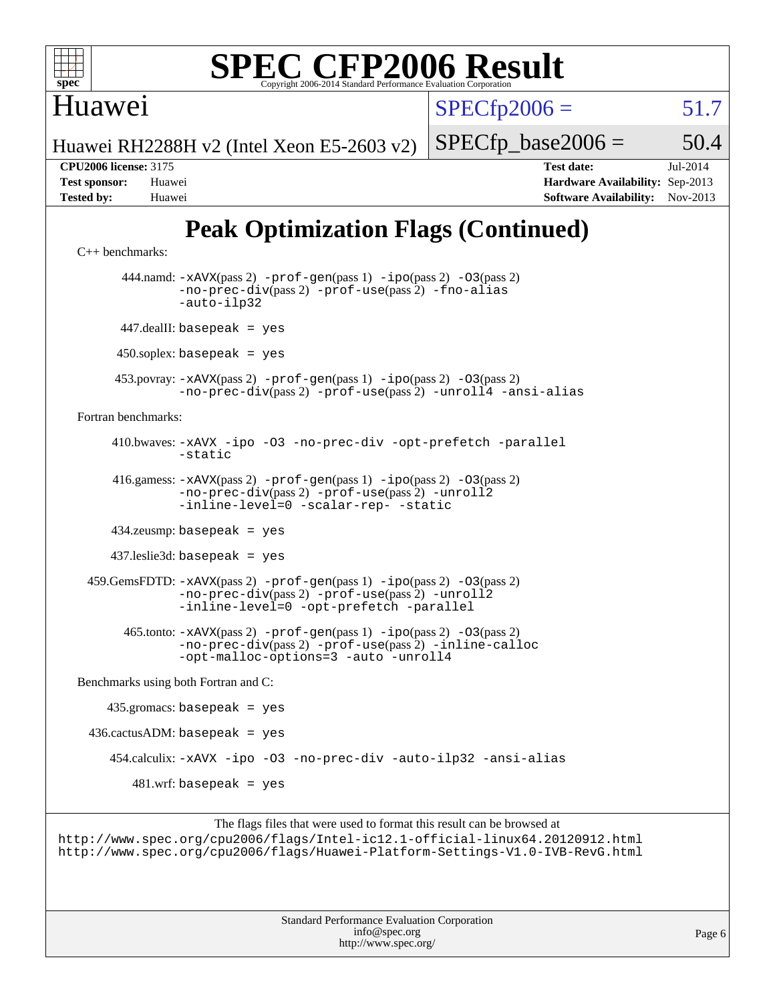

Huawei

 $SPECfp2006 = 51.7$  $SPECfp2006 = 51.7$ 

Huawei RH2288H v2 (Intel Xeon E5-2603 v2)

 $SPECTp\_base2006 = 50.4$ **[CPU2006 license:](http://www.spec.org/auto/cpu2006/Docs/result-fields.html#CPU2006license)** 3175 **[Test date:](http://www.spec.org/auto/cpu2006/Docs/result-fields.html#Testdate)** Jul-2014

**[Test sponsor:](http://www.spec.org/auto/cpu2006/Docs/result-fields.html#Testsponsor)** Huawei **[Hardware Availability:](http://www.spec.org/auto/cpu2006/Docs/result-fields.html#HardwareAvailability)** Sep-2013 **[Tested by:](http://www.spec.org/auto/cpu2006/Docs/result-fields.html#Testedby)** Huawei **[Software Availability:](http://www.spec.org/auto/cpu2006/Docs/result-fields.html#SoftwareAvailability)** Nov-2013

## **[Peak Optimization Flags \(Continued\)](http://www.spec.org/auto/cpu2006/Docs/result-fields.html#PeakOptimizationFlags)**

```
C++ benchmarks: 
        444.namd: -xAVX(pass 2) -prof-gen(pass 1) -ipo(pass 2) -O3(pass 2)
               -no-prec-div(pass 2) -prof-use(pass 2) -fno-alias
                -auto-ilp32
       447.dealII: basepeak = yes
       450.soplex: basepeak = yes
      453.povray: -xAVX(pass 2) -prof-gen(pass 1) -ipo(pass 2) -O3(pass 2)
                -no-prec-div(pass 2) -prof-use(pass 2) -unroll4 -ansi-alias
Fortran benchmarks: 
      410.bwaves: -xAVX -ipo -O3 -no-prec-div -opt-prefetch -parallel
               -static
      416.gamess: -xAVX(pass 2) -prof-gen(pass 1) -ipo(pass 2) -O3(pass 2)
                -no-prec-div(pass 2) -prof-use(pass 2) -unroll2
                -inline-level=0-scalar-rep--static
      434.zeusmp: basepeak = yes
      437.leslie3d: basepeak = yes
  459.GemsFDTD: -xAVX(pass 2) -prof-gen(pass 1) -ipo(pass 2) -O3(pass 2)
                -no-prec-div(pass 2) -prof-use(pass 2) -unroll2
                -inline-level=0 -opt-prefetch -parallel
        465.tonto: -xAVX(pass 2) -prof-gen(pass 1) -ipo(pass 2) -O3(pass 2)
               -no-prec-div(pass 2) -prof-use(pass 2) -inline-calloc
               -opt-malloc-options=3 -auto -unroll4
Benchmarks using both Fortran and C: 
     435.gromacs: basepeak = yes
 436.cactusADM: basepeak = yes 454.calculix: -xAVX -ipo -O3 -no-prec-div -auto-ilp32 -ansi-alias
        481.wrf: basepeak = yes
```
The flags files that were used to format this result can be browsed at <http://www.spec.org/cpu2006/flags/Intel-ic12.1-official-linux64.20120912.html> <http://www.spec.org/cpu2006/flags/Huawei-Platform-Settings-V1.0-IVB-RevG.html>